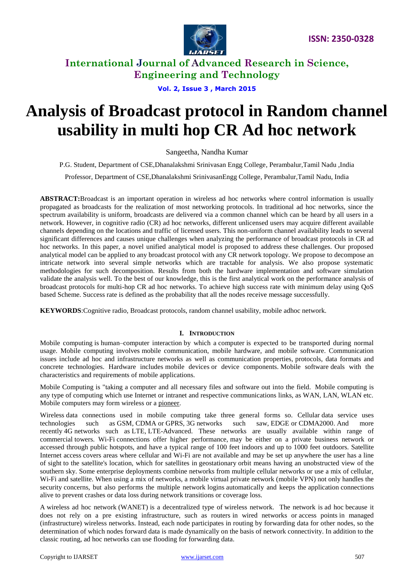

**Vol. 2, Issue 3 , March 2015**

# **Analysis of Broadcast protocol in Random channel usability in multi hop CR Ad hoc network**

Sangeetha, Nandha Kumar

P.G. Student, Department of CSE,Dhanalakshmi Srinivasan Engg College, Perambalur,Tamil Nadu ,India

Professor, Department of CSE,Dhanalakshmi SrinivasanEngg College, Perambalur,Tamil Nadu, India

**ABSTRACT:**Broadcast is an important operation in wireless ad hoc networks where control information is usually propagated as broadcasts for the realization of most networking protocols. In traditional ad hoc networks, since the spectrum availability is uniform, broadcasts are delivered via a common channel which can be heard by all users in a network. However, in cognitive radio (CR) ad hoc networks, different unlicensed users may acquire different available channels depending on the locations and traffic of licensed users. This non-uniform channel availability leads to several significant differences and causes unique challenges when analyzing the performance of broadcast protocols in CR ad hoc networks. In this paper, a novel unified analytical model is proposed to address these challenges. Our proposed analytical model can be applied to any broadcast protocol with any CR network topology. We propose to decompose an intricate network into several simple networks which are tractable for analysis. We also propose systematic methodologies for such decomposition. Results from both the hardware implementation and software simulation validate the analysis well. To the best of our knowledge, this is the first analytical work on the performance analysis of broadcast protocols for multi-hop CR ad hoc networks. To achieve high success rate with minimum delay using QoS based Scheme. Success rate is defined as the probability that all the nodes receive message successfully.

**KEYWORDS**:Cognitive radio, Broadcast protocols, random channel usability, mobile adhoc network.

#### **I. INTRODUCTION**

Mobile computing is human–computer interaction by which a computer is expected to be transported during normal usage. Mobile computing involves mobile communication, mobile hardware, and mobile software. Communication issues include ad hoc and infrastructure networks as well as communication properties, protocols, data formats and concrete technologies. Hardware includes mobile devices or device components. Mobile software deals with the characteristics and requirements of mobile applications.

Mobile Computing is "taking a computer and all necessary files and software out into the field. Mobile computing is any type of computing which use Internet or intranet and respective communications links, as WAN, LAN, WLAN etc. Mobile computers may form wireless or a [pioneer.](http://en.wikipedia.org/wiki/Piconet)

Wireless data connections used in mobile computing take three general forms so. Cellular data service uses technologies such as GSM, CDMA or GPRS, 3G networks such saw, EDGE or CDMA2000. And more recently 4G networks such as LTE, LTE-Advanced. These networks are usually available within range of commercial towers. Wi-Fi connections offer higher performance, may be either on a private business network or accessed through public hotspots, and have a typical range of 100 feet indoors and up to 1000 feet outdoors. Satellite Internet access covers areas where cellular and Wi-Fi are not available and may be set up anywhere the user has a line of sight to the satellite's location, which for satellites in geostationary orbit means having an unobstructed view of the southern sky. Some enterprise deployments combine networks from multiple cellular networks or use a mix of cellular, Wi-Fi and satellite. When using a mix of networks, a mobile virtual private network (mobile VPN) not only handles the security concerns, but also performs the multiple network logins automatically and keeps the application connections alive to prevent crashes or data loss during network transitions or coverage loss.

A wireless ad hoc network (WANET) is a decentralized type of wireless network. The network is ad hoc because it does not rely on a pre existing infrastructure, such as routers in wired networks or access points in managed (infrastructure) wireless networks. Instead, each node participates in routing by forwarding data for other nodes, so the determination of which nodes forward data is made dynamically on the basis of network connectivity. In addition to the classic routing, ad hoc networks can use flooding for forwarding data.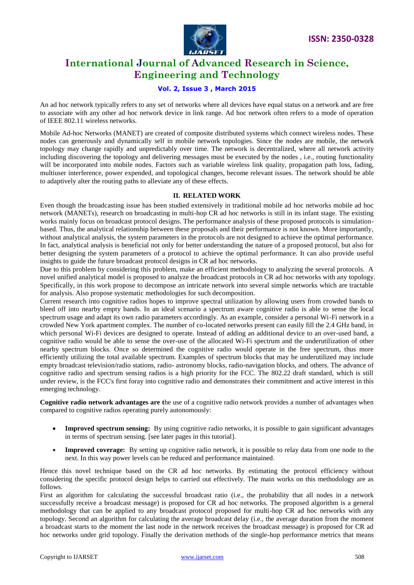

### **Vol. 2, Issue 3 , March 2015**

An ad hoc network typically refers to any set of networks where all devices have equal status on a network and are free to associate with any other ad hoc network device in link range. Ad hoc network often refers to a mode of operation of IEEE 802.11 wireless networks.

Mobile Ad-hoc Networks (MANET) are created of composite distributed systems which connect wireless nodes. These nodes can generously and dynamically self in mobile network topologies. Since the nodes are mobile, the network topology may change rapidly and unpredictably over time. The network is decentralized, where all network activity including discovering the topology and delivering messages must be executed by the nodes , i.e., routing functionality will be incorporated into mobile nodes. Factors such as variable wireless link quality, propagation path loss, fading, multiuser interference, power expended, and topological changes, become relevant issues. The network should be able to adaptively alter the routing paths to alleviate any of these effects.

#### **II. RELATED WORK**

Even though the broadcasting issue has been studied extensively in traditional mobile ad hoc networks mobile ad hoc network (MANETs), research on broadcasting in multi-hop CR ad hoc networks is still in its infant stage. The existing works mainly focus on broadcast protocol designs. The performance analysis of these proposed protocols is simulationbased. Thus, the analytical relationship between these proposals and their performance is not known. More importantly, without analytical analysis, the system parameters in the protocols are not designed to achieve the optimal performance. In fact, analytical analysis is beneficial not only for better understanding the nature of a proposed protocol, but also for better designing the system parameters of a protocol to achieve the optimal performance. It can also provide useful insights to guide the future broadcast protocol designs in CR ad hoc networks.

Due to this problem by considering this problem, make an efficient methodology to analyzing the several protocols. A novel unified analytical model is proposed to analyze the broadcast protocols in CR ad hoc networks with any topology. Specifically, in this work propose to decompose an intricate network into several simple networks which are tractable for analysis. Also propose systematic methodologies for such decomposition.

Current research into cognitive radios hopes to improve spectral utilization by allowing users from crowded bands to bleed off into nearby empty bands. In an ideal scenario a spectrum aware cognitive radio is able to sense the local spectrum usage and adapt its own radio parameters accordingly. As an example, consider a personal Wi-Fi network in a crowded New York apartment complex. The number of co-located networks present can easily fill the 2.4 GHz band, in which personal Wi-Fi devices are designed to operate. Instead of adding an additional device to an over-used band, a cognitive radio would be able to sense the over-use of the allocated Wi-Fi spectrum and the underutilization of other nearby spectrum blocks. Once so determined the cognitive radio would operate in the free spectrum, thus more efficiently utilizing the total available spectrum. Examples of spectrum blocks that may be underutilized may include empty broadcast television/radio stations, radio- astronomy blocks, radio-navigation blocks, and others. The advance of cognitive radio and spectrum sensing radios is a high priority for the FCC. The 802.22 draft standard, which is still under review, is the FCC's first foray into cognitive radio and demonstrates their commitment and active interest in this emerging technology.

**Cognitive radio network advantages are t**he use of a cognitive radio network provides a number of advantages when compared to cognitive radios operating purely autonomously:

- **Improved spectrum sensing:** By using cognitive radio networks, it is possible to gain significant advantages in terms of spectrum sensing. [see later pages in this tutorial].
- **Improved coverage:** By setting up cognitive radio network, it is possible to relay data from one node to the next. In this way power levels can be reduced and performance maintained.

Hence this novel technique based on the CR ad hoc networks. By estimating the protocol efficiency without considering the specific protocol design helps to carried out effectively. The main works on this methodology are as follows.

First an algorithm for calculating the successful broadcast ratio (i.e., the probability that all nodes in a network successfully receive a broadcast message) is proposed for CR ad hoc networks. The proposed algorithm is a general methodology that can be applied to any broadcast protocol proposed for multi-hop CR ad hoc networks with any topology. Second an algorithm for calculating the average broadcast delay (i.e., the average duration from the moment a broadcast starts to the moment the last node in the network receives the broadcast message) is proposed for CR ad hoc networks under grid topology. Finally the derivation methods of the single-hop performance metrics that means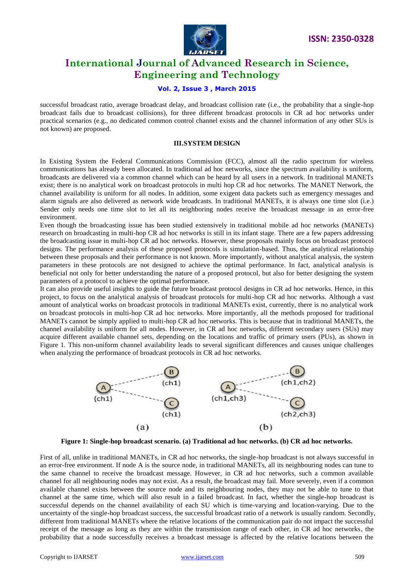



#### **Vol. 2, Issue 3 , March 2015**

successful broadcast ratio, average broadcast delay, and broadcast collision rate (i.e., the probability that a single-hop broadcast fails due to broadcast collisions), for three different broadcast protocols in CR ad hoc networks under practical scenarios (e.g., no dedicated common control channel exists and the channel information of any other SUs is not known) are proposed.

#### **III.SYSTEM DESIGN**

In Existing System the Federal Communications Commission (FCC), almost all the radio spectrum for wireless communications has already been allocated. In traditional ad hoc networks, since the spectrum availability is uniform, broadcasts are delivered via a common channel which can be heard by all users in a network. In traditional MANETs exist; there is no analytical work on broadcast protocols in multi hop CR ad hoc networks. The MANET Network, the channel availability is uniform for all nodes. In addition, some exigent data packets such as emergency messages and alarm signals are also delivered as network wide broadcasts. In traditional MANETs, it is always one time slot (i.e.) Sender only needs one time slot to let all its neighboring nodes receive the broadcast message in an error-free environment.

Even though the broadcasting issue has been studied extensively in traditional mobile ad hoc networks (MANETs) research on broadcasting in multi-hop CR ad hoc networks is still in its infant stage. There are a few papers addressing the broadcasting issue in multi-hop CR ad hoc networks. However, these proposals mainly focus on broadcast protocol designs. The performance analysis of these proposed protocols is simulation-based. Thus, the analytical relationship between these proposals and their performance is not known. More importantly, without analytical analysis, the system parameters in these protocols are not designed to achieve the optimal performance. In fact, analytical analysis is beneficial not only for better understanding the nature of a proposed protocol, but also for better designing the system parameters of a protocol to achieve the optimal performance.

It can also provide useful insights to guide the future broadcast protocol designs in CR ad hoc networks. Hence, in this project, to focus on the analytical analysis of broadcast protocols for multi-hop CR ad hoc networks. Although a vast amount of analytical works on broadcast protocols in traditional MANETs exist, currently, there is no analytical work on broadcast protocols in multi-hop CR ad hoc networks. More importantly, all the methods proposed for traditional MANETs cannot be simply applied to multi-hop CR ad hoc networks. This is because that in traditional MANETs, the channel availability is uniform for all nodes. However, in CR ad hoc networks, different secondary users (SUs) may acquire different available channel sets, depending on the locations and traffic of primary users (PUs), as shown in Figure 1. This non-uniform channel availability leads to several significant differences and causes unique challenges when analyzing the performance of broadcast protocols in CR ad hoc networks.



**Figure 1: Single-hop broadcast scenario. (a) Traditional ad hoc networks. (b) CR ad hoc networks.**

First of all, unlike in traditional MANETs, in CR ad hoc networks, the single-hop broadcast is not always successful in an error-free environment. If node A is the source node, in traditional MANETs, all its neighbouring nodes can tune to the same channel to receive the broadcast message. However, in CR ad hoc networks, such a common available channel for all neighbouring nodes may not exist. As a result, the broadcast may fail. More severely, even if a common available channel exists between the source node and its neighbouring nodes, they may not be able to tune to that channel at the same time, which will also result in a failed broadcast. In fact, whether the single-hop broadcast is successful depends on the channel availability of each SU which is time-varying and location-varying. Due to the uncertainty of the single-hop broadcast success, the successful broadcast ratio of a network is usually random. Secondly, different from traditional MANETs where the relative locations of the communication pair do not impact the successful receipt of the message as long as they are within the transmission range of each other, in CR ad hoc networks, the probability that a node successfully receives a broadcast message is affected by the relative locations between the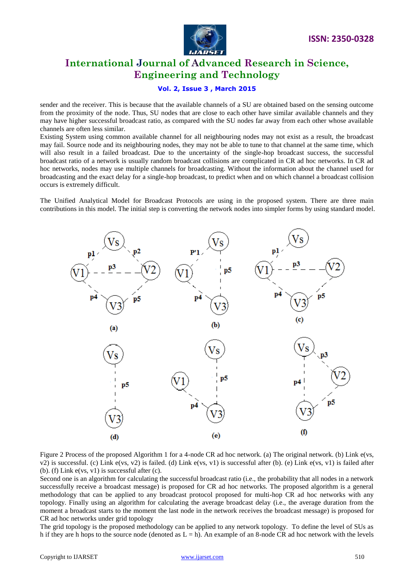

#### **Vol. 2, Issue 3 , March 2015**

sender and the receiver. This is because that the available channels of a SU are obtained based on the sensing outcome from the proximity of the node. Thus, SU nodes that are close to each other have similar available channels and they may have higher successful broadcast ratio, as compared with the SU nodes far away from each other whose available channels are often less similar.

Existing System using common available channel for all neighbouring nodes may not exist as a result, the broadcast may fail. Source node and its neighbouring nodes, they may not be able to tune to that channel at the same time, which will also result in a failed broadcast. Due to the uncertainty of the single-hop broadcast success, the successful broadcast ratio of a network is usually random broadcast collisions are complicated in CR ad hoc networks. In CR ad hoc networks, nodes may use multiple channels for broadcasting. Without the information about the channel used for broadcasting and the exact delay for a single-hop broadcast, to predict when and on which channel a broadcast collision occurs is extremely difficult.

The Unified Analytical Model for Broadcast Protocols are using in the proposed system. There are three main contributions in this model. The initial step is converting the network nodes into simpler forms by using standard model.



Figure 2 Process of the proposed Algorithm 1 for a 4-node CR ad hoc network. (a) The original network. (b) Link e(vs, v2) is successful. (c) Link e(vs, v2) is failed. (d) Link e(vs, v1) is successful after (b). (e) Link e(vs, v1) is failed after (b). (f) Link  $e(vs, v1)$  is successful after (c).

Second one is an algorithm for calculating the successful broadcast ratio (i.e., the probability that all nodes in a network successfully receive a broadcast message) is proposed for CR ad hoc networks. The proposed algorithm is a general methodology that can be applied to any broadcast protocol proposed for multi-hop CR ad hoc networks with any topology. Finally using an algorithm for calculating the average broadcast delay (i.e., the average duration from the moment a broadcast starts to the moment the last node in the network receives the broadcast message) is proposed for CR ad hoc networks under grid topology

The grid topology is the proposed methodology can be applied to any network topology. To define the level of SUs as h if they are h hops to the source node (denoted as  $L = h$ ). An example of an 8-node CR ad hoc network with the levels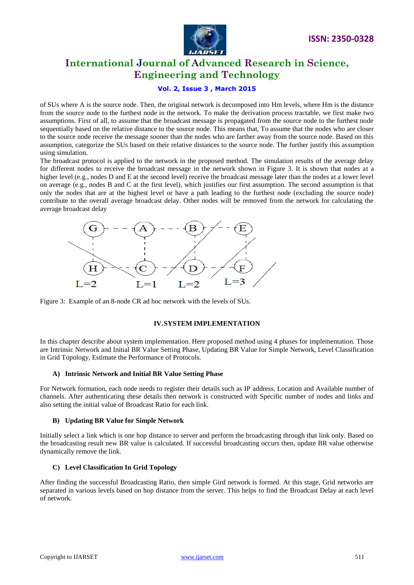

#### **Vol. 2, Issue 3 , March 2015**

of SUs where A is the source node. Then, the original network is decomposed into Hm levels, where Hm is the distance from the source node to the furthest node in the network. To make the derivation process tractable, we first make two assumptions. First of all, to assume that the broadcast message is propagated from the source node to the furthest node sequentially based on the relative distance to the source node. This means that, To assume that the nodes who are closer to the source node receive the message sooner than the nodes who are farther away from the source node. Based on this assumption, categorize the SUs based on their relative distances to the source node. The further justify this assumption using simulation.

The broadcast protocol is applied to the network in the proposed method. The simulation results of the average delay for different nodes to receive the broadcast message in the network shown in Figure 3. It is shown that nodes at a higher level (e.g., nodes D and E at the second level) receive the broadcast message later than the nodes at a lower level on average (e.g., nodes B and C at the first level), which justifies our first assumption. The second assumption is that only the nodes that are at the highest level or have a path leading to the furthest node (excluding the source node) contribute to the overall average broadcast delay. Other nodes will be removed from the network for calculating the average broadcast delay



Figure 3: Example of an 8-node CR ad hoc network with the levels of SUs.

#### **IV.SYSTEM IMPLEMENTATION**

In this chapter describe about system implementation. Here proposed method using 4 phases for implementation. Those are Intrinsic Network and Initial BR Value Setting Phase, Updating BR Value for Simple Network, Level Classification in Grid Topology, Estimate the Performance of Protocols.

#### **A) Intrinsic Network and Initial BR Value Setting Phase**

For Network formation, each node needs to register their details such as IP address, Location and Available number of channels. After authenticating these details then network is constructed with Specific number of nodes and links and also setting the initial value of Broadcast Ratio for each link.

#### **B) Updating BR Value for Simple Network**

Initially select a link which is one hop distance to server and perform the broadcasting through that link only. Based on the broadcasting result new BR value is calculated. If successful broadcasting occurs then, update BR value otherwise dynamically remove the link.

#### **C) Level Classification In Grid Topology**

After finding the successful Broadcasting Ratio, then simple Gird network is formed. At this stage, Grid networks are separated in various levels based on hop distance from the server. This helps to find the Broadcast Delay at each level of network.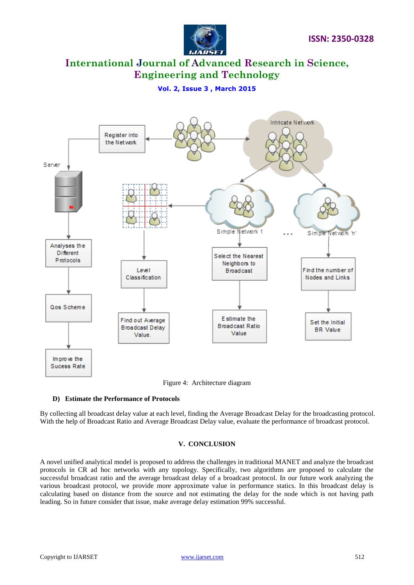

**Vol. 2, Issue 3 , March 2015**



Figure 4: Architecture diagram

#### **D) Estimate the Performance of Protocols**

By collecting all broadcast delay value at each level, finding the Average Broadcast Delay for the broadcasting protocol. With the help of Broadcast Ratio and Average Broadcast Delay value, evaluate the performance of broadcast protocol.

#### **V. CONCLUSION**

A novel unified analytical model is proposed to address the challenges in traditional MANET and analyze the broadcast protocols in CR ad hoc networks with any topology. Specifically, two algorithms are proposed to calculate the successful broadcast ratio and the average broadcast delay of a broadcast protocol. In our future work analyzing the various broadcast protocol, we provide more approximate value in performance statics. In this broadcast delay is calculating based on distance from the source and not estimating the delay for the node which is not having path leading. So in future consider that issue, make average delay estimation 99% successful.